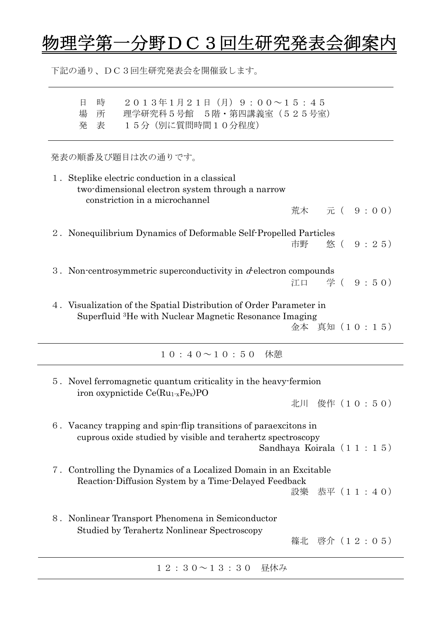## 物理学第一分野DC3回生研究発表会御案内

下記の通り、DC3回生研究発表会を開催致します。

| 2013年1月21日 (月) 9:00~15:45<br>時<br>日<br>理学研究科 5 号館 5 階 · 第四講義室 (525号室)<br>場<br>所<br>15分 (別に質問時間10分程度)<br>発<br>表                                              |
|-------------------------------------------------------------------------------------------------------------------------------------------------------------|
| 発表の順番及び題目は次の通りです。                                                                                                                                           |
| 1. Steplike electric conduction in a classical<br>two-dimensional electron system through a narrow<br>constriction in a microchannel                        |
| 荒木 元 ( 9 : 0 0)                                                                                                                                             |
| 2. Nonequilibrium Dynamics of Deformable Self-Propelled Particles<br>市野                                                                                     |
| 3. Non-centrosymmetric superconductivity in $d$ -electron compounds<br>江口 学 ( 9:50)                                                                         |
| 4. Visualization of the Spatial Distribution of Order Parameter in<br>Superfluid <sup>3</sup> He with Nuclear Magnetic Resonance Imaging                    |
| 金本 真知(10:15)                                                                                                                                                |
| $10:40 \sim 10:50$ 休憩                                                                                                                                       |
| 5. Novel ferromagnetic quantum criticality in the heavy-fermion<br>iron oxypnictide $Ce(Ru_1 x Fe_x) PO$                                                    |
| 北川 俊作 (10:50)                                                                                                                                               |
| 6. Vacancy trapping and spin-flip transitions of paraexcitons in<br>cuprous oxide studied by visible and terahertz spectroscopy<br>Sandhaya Koirala (11:15) |
| Controlling the Dynamics of a Localized Domain in an Excitable<br>7.                                                                                        |
| Reaction-Diffusion System by a Time-Delayed Feedback<br>恭平 (11:40)<br>設樂                                                                                    |
| Nonlinear Transport Phenomena in Semiconductor<br>8.<br>Studied by Terahertz Nonlinear Spectroscopy<br>篠北 啓介 (12:05)                                        |
| $1\ 2\ 3\ 0 \sim 1\ 3\ 3\ 0$<br>昼休み                                                                                                                         |